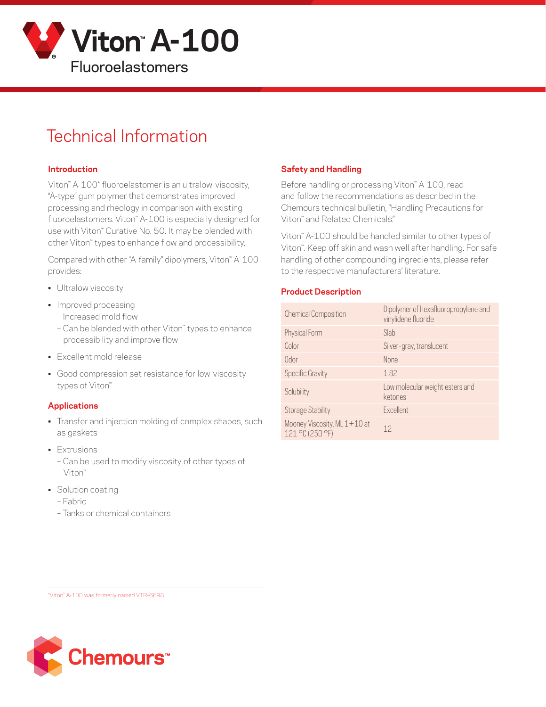

# Technical Information

#### **Introduction**

Viton™ A-100\* fluoroelastomer is an ultralow-viscosity, "A-type" gum polymer that demonstrates improved processing and rheology in comparison with existing fluoroelastomers. Viton™ A-100 is especially designed for use with Viton<sup>™</sup> Curative No. 50. It may be blended with other Viton™ types to enhance flow and processibility.

Compared with other "A-family" dipolymers, Viton™ A-100 provides:

- **•** Ultralow viscosity
- Improved processing
	- Increased mold flow
	- Can be blended with other Viton™ types to enhance processibility and improve flow
- Excellent mold release
- Good compression set resistance for low-viscosity types of Viton™

#### **Applications**

- Transfer and injection molding of complex shapes, such as gaskets
- Extrusions
	- Can be used to modify viscosity of other types of Viton™
- Solution coating
	- Fabric
	- Tanks or chemical containers

#### **Safety and Handling**

Before handling or processing Viton<sup>™</sup> A-100, read and follow the recommendations as described in the Chemours technical bulletin, "Handling Precautions for Viton™ and Related Chemicals."

Viton™ A-100 should be handled similar to other types of Viton™. Keep off skin and wash well after handling. For safe handling of other compounding ingredients, please refer to the respective manufacturers' literature.

#### **Product Description**

| <b>Chemical Composition</b>                     | Dipolymer of hexafluoropropylene and<br>vinylidene fluoride |
|-------------------------------------------------|-------------------------------------------------------------|
| Physical Form                                   | Slab                                                        |
| Color                                           | Silver-gray, translucent                                    |
| Odor                                            | <b>None</b>                                                 |
| Specific Gravity                                | 1.82                                                        |
| Solubility                                      | Low molecular weight esters and<br>ketones                  |
| <b>Storage Stability</b>                        | Excellent                                                   |
| Mooney Viscosity, ML 1+10 at<br>121 °C (250 °F) | 12                                                          |

\*Viton™ A-100 was formerly named VTR-6698.

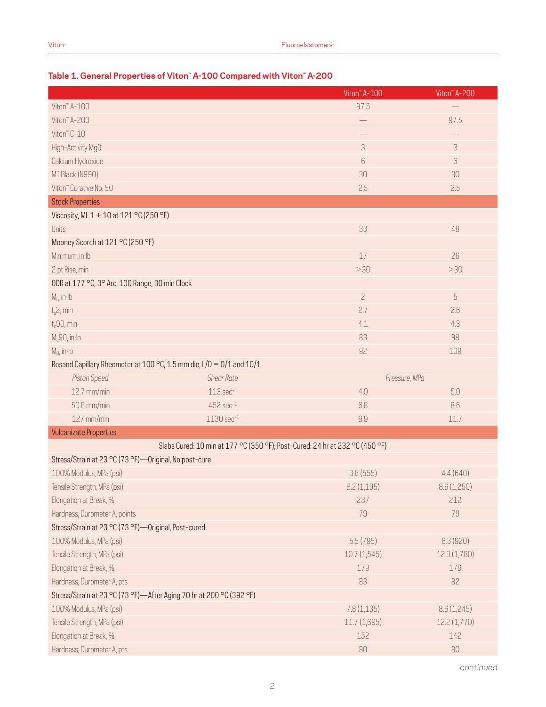### **Table 1. General Properties of Viton™ A-100 Compared with Viton™ A-200**

|                                                                      |                                                                              | Viton" A-100                | Viton" A-200 |
|----------------------------------------------------------------------|------------------------------------------------------------------------------|-----------------------------|--------------|
| Viton" A-100                                                         |                                                                              | 97.5                        |              |
| Viton" A-200                                                         |                                                                              |                             | 97.5         |
| Viton" C-10                                                          |                                                                              | —<br>—                      |              |
| High-Activity MgO                                                    |                                                                              | $\ensuremath{\mathfrak{Z}}$ | 3            |
| Calcium Hydroxide                                                    |                                                                              | $6\,$                       | $6\,$        |
| MT Black (N990)                                                      |                                                                              | 30                          | 30           |
| Viton" Curative No. 50                                               |                                                                              | 2.5                         | 2.5          |
| <b>Stock Properties</b>                                              |                                                                              |                             |              |
| Viscosity, ML 1 + 10 at 121 °C (250 °F)                              |                                                                              |                             |              |
| Units                                                                |                                                                              | 33                          | 48           |
| Mooney Scorch at 121 °C (250 °F)                                     |                                                                              |                             |              |
| Minimum, in Ib                                                       |                                                                              | 17                          | 26           |
| 2 pt Rise, min                                                       |                                                                              | >30                         | >30          |
| ODR at 177 °C, 3° Arc, 100 Range, 30 min Clock                       |                                                                              |                             |              |
| $M_L$ , in Ib                                                        |                                                                              | $\overline{c}$              | 5            |
| $t_s$ 2, min                                                         |                                                                              | 2.7                         | 2.6          |
| $t_c$ 90, min                                                        |                                                                              | 4.1                         | 4.3          |
| $M_c$ 90, in·lb                                                      |                                                                              | 83                          | 98           |
| $M_H$ , in Ib                                                        |                                                                              | 92                          | 109          |
| Rosand Capillary Rheometer at 100 °C, 1.5 mm die, L/D = 0/1 and 10/1 |                                                                              |                             |              |
| Piston Speed                                                         | <b>Shear Rate</b>                                                            | Pressure, MPa               |              |
| 12.7 mm/min                                                          | $113 sec-1$                                                                  | 4.0                         | 5.0          |
| 50.8 mm/min                                                          | $452$ sec $^{-1}$                                                            | 6.8                         | 8.6          |
| 127 mm/min                                                           | $1130 \text{ sec}^{-1}$                                                      | 9.9                         | 11.7         |
| <b>Vulcanizate Properties</b>                                        |                                                                              |                             |              |
|                                                                      | Slabs Cured: 10 min at 177 °C (350 °F); Post-Cured: 24 hr at 232 °C (450 °F) |                             |              |
| Stress/Strain at 23 °C (73 °F) - Original, No post-cure              |                                                                              |                             |              |
| 100% Modulus, MPa (psi)                                              |                                                                              | 3.8(555)                    | 4.4(640)     |
| Tensile Strength, MPa (psi)                                          |                                                                              | 8.2(1,195)                  | 8.6 (1,250)  |
| Elongation at Break, %                                               |                                                                              | 237                         | 212          |
| Hardness, Durometer A, points                                        |                                                                              | 79                          | 79           |
| Stress/Strain at 23 °C (73 °F)-Original, Post-cured                  |                                                                              |                             |              |
| 100% Modulus, MPa (psi)                                              |                                                                              | 5.5(795)                    | 6.3(920)     |
| Tensile Strength, MPa (psi)                                          |                                                                              | 10.7(1,545)                 | 12.3(1,780)  |
| Elongation at Break, %                                               |                                                                              | 179                         | 179          |
| Hardness, Durometer A, pts                                           |                                                                              | 83                          | 82           |
| Stress/Strain at 23 °C (73 °F)-After Aging 70 hr at 200 °C (392 °F)  |                                                                              |                             |              |
| 100% Modulus, MPa (psi)                                              |                                                                              | 7.8(1,135)                  | 8.6(1,245)   |
| Tensile Strength, MPa (psi)                                          |                                                                              | 11.7(1,695)                 | 12.2 (1,770) |
| Elongation at Break, %                                               |                                                                              | 152                         | 142          |
| Hardness, Durometer A, pts                                           |                                                                              | 80                          | 80           |

*continued*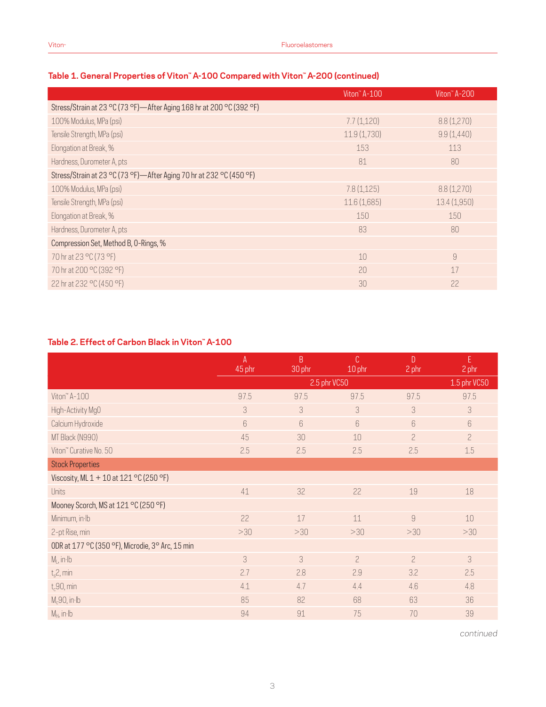|                                                                        | Viton <sup>"</sup> A-100 | Viton <sup>"</sup> A-200 |
|------------------------------------------------------------------------|--------------------------|--------------------------|
| Stress/Strain at 23 °C (73 °F) - After Aging 168 hr at 200 °C (392 °F) |                          |                          |
| 100% Modulus, MPa (psi)                                                | 7.7(1,120)               | 8.8(1,270)               |
| Tensile Strength, MPa (psi)                                            | 11.9(1,730)              | 9.9(1,440)               |
| Elongation at Break, %                                                 | 153                      | 113                      |
| Hardness, Durometer A, pts                                             | 81                       | 80                       |
| Stress/Strain at 23 °C (73 °F)—After Aging 70 hr at 232 °C (450 °F)    |                          |                          |
| 100% Modulus, MPa (psi)                                                | 7.8(1,125)               | 8.8(1,270)               |
| Tensile Strength, MPa (psi)                                            | 11.6(1,685)              | 13.4(1,950)              |
| Elongation at Break, %                                                 | 150                      | 150                      |
| Hardness, Durometer A, pts                                             | 83                       | 80                       |
| Compression Set, Method B, O-Rings, %                                  |                          |                          |
| 70 hr at 23 °C (73 °F)                                                 | 10                       | 9                        |
| 70 hr at 200 °C (392 °F)                                               | 20                       | 17                       |
| 22 hr at 232 °C (450 °F)                                               | 30                       | 22                       |

### **Table 1. General Properties of Viton™ A-100 Compared with Viton™ A-200 (continued)**

#### **Table 2. Effect of Carbon Black in Viton™ A-100**

|                                                  | $\mathsf{A}$<br>45 phr | B<br>30 phr | C<br>10 phr    | D<br>2 phr     | E.<br>2 phr    |
|--------------------------------------------------|------------------------|-------------|----------------|----------------|----------------|
|                                                  |                        |             | 2.5 phr VC50   |                | 1.5 phr VC50   |
| Viton" A-100                                     | 97.5                   | 97.5        | 97.5           | 97.5           | 97.5           |
| High-Activity MgO                                | 3                      | 3           | 3              | 3              | 3              |
| Calcium Hydroxide                                | $6\,$                  | $6\,$       | 6              | 6              | 6              |
| MT Black (N990)                                  | 45                     | 30          | 10             | $\overline{c}$ | $\overline{c}$ |
| Viton" Curative No. 50                           | 2.5                    | 2.5         | 2.5            | 2.5            | 1.5            |
| <b>Stock Properties</b>                          |                        |             |                |                |                |
| Viscosity, ML 1 + 10 at 121 °C (250 °F)          |                        |             |                |                |                |
| Units                                            | 41                     | 32          | 22             | 19             | 18             |
| Mooney Scorch, MS at 121 °C (250 °F)             |                        |             |                |                |                |
| Minimum, in Ib                                   | 22                     | 17          | 11             | 9              | 10             |
| 2-pt Rise, min                                   | >30                    | >30         | >30            | >30            | >30            |
| ODR at 177 °C (350 °F), Microdie, 3° Arc, 15 min |                        |             |                |                |                |
| $M_L$ , in $H$                                   | 3                      | 3           | $\overline{c}$ | $\overline{c}$ | 3              |
| $t_s2$ , min                                     | 2.7                    | 2.8         | 2.9            | 3.2            | 2.5            |
| $t_c$ 90, min                                    | 4.1                    | 4.7         | 4.4            | 4.6            | 4.8            |
| $M_c$ 90, in·lb                                  | 85                     | 82          | 68             | 63             | 36             |
| $M_H$ , in $Ib$                                  | 94                     | 91          | 75             | 70             | 39             |

*continued*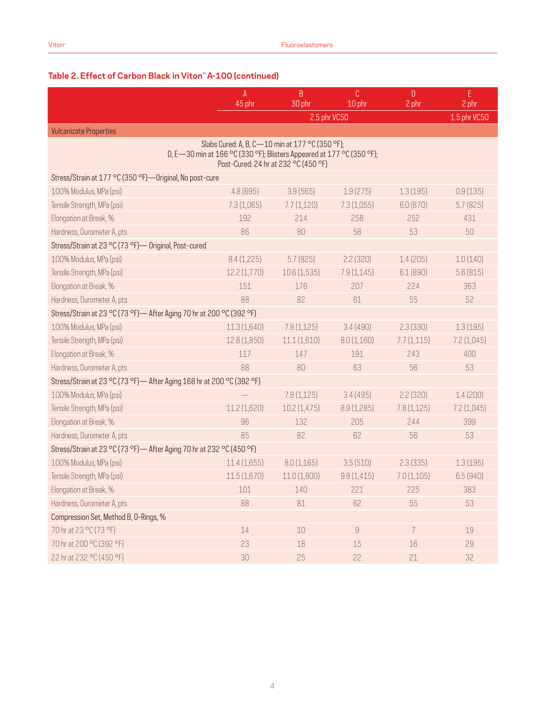## **Table 2. Effect of Carbon Black in Viton™ A-100 (continued)**

|                                                                        | A<br>45 phr | B                                                                                                             | C            | $\mathsf{D}$   | E.<br>2 phr  |
|------------------------------------------------------------------------|-------------|---------------------------------------------------------------------------------------------------------------|--------------|----------------|--------------|
|                                                                        |             | 30 phr<br>2.5 phr VC50                                                                                        | 10 phr       | 2 phr          | 1.5 phr VC50 |
| <b>Vulcanizate Properties</b>                                          |             |                                                                                                               |              |                |              |
|                                                                        |             | Slabs Cured: A, B, C-10 min at 177 °C (350 °F);                                                               |              |                |              |
|                                                                        |             | D, E-30 min at 166 °C (330 °F); Blisters Appeared at 177 °C (350 °F);<br>Post-Cured: 24 hr at 232 °C (450 °F) |              |                |              |
| Stress/Strain at 177 °C (350 °F)-Original, No post-cure                |             |                                                                                                               |              |                |              |
| 100% Modulus, MPa (psi)                                                | 4.8(695)    | 3.9(565)                                                                                                      | 1.9(275)     | 1.3(195)       | 0.9(135)     |
| Tensile Strength, MPa (psi)                                            | 7.3(1,065)  | 7.7(1,120)                                                                                                    | 7.3(1,055)   | 6.0(870)       | 5.7(825)     |
| Elongation at Break, %                                                 | 192         | 214                                                                                                           | 258          | 252            | 431          |
| Hardness, Durometer A, pts                                             | 86          | 80                                                                                                            | 58           | 53             | 50           |
| Stress/Strain at 23 °C (73 °F) - Original, Post-cured                  |             |                                                                                                               |              |                |              |
| 100% Modulus, MPa (psi)                                                | 8.4(1,225)  | 5.7(825)                                                                                                      | 2.2(320)     | 1.4(205)       | 1.0(140)     |
| Tensile Strength, MPa (psi)                                            | 12.2(1,770) | 10.6(1,535)                                                                                                   | 7.9(1,145)   | 6.1(890)       | 5.6(815)     |
| Elongation at Break, %                                                 | 151         | 176                                                                                                           | 207          | 224            | 363          |
| Hardness, Durometer A, pts                                             | 88          | 82                                                                                                            | 61           | 55             | 52           |
| Stress/Strain at 23 °C (73 °F) - After Aging 70 hr at 200 °C (392 °F)  |             |                                                                                                               |              |                |              |
| 100% Modulus, MPa (psi)                                                | 11.3(1,640) | 7.8(1,125)                                                                                                    | 3.4(490)     | 2.3(330)       | 1.3(195)     |
| Tensile Strength, MPa (psi)                                            | 12.8(1,850) | 11.1(1,610)                                                                                                   | 8.0(1,160)   | 7.7(1,115)     | 7.2(1,045)   |
| Elongation at Break, %                                                 | 117         | 147                                                                                                           | 191          | 243            | 400          |
| Hardness, Durometer A, pts                                             | 88          | 80                                                                                                            | 63           | 56             | 53           |
| Stress/Strain at 23 °C (73 °F) - After Aging 168 hr at 200 °C (392 °F) |             |                                                                                                               |              |                |              |
| 100% Modulus, MPa (psi)                                                |             | 7.8(1,125)                                                                                                    | 3.4(495)     | 2.2(320)       | 1.4(200)     |
| Tensile Strength, MPa (psi)                                            | 11.2(1,620) | 10.2(1,475)                                                                                                   | 8.9(1,285)   | 7.8(1,125)     | 7.2(1,045)   |
| Elongation at Break, %                                                 | 96          | 132                                                                                                           | 205          | 244            | 399          |
| Hardness, Durometer A, pts                                             | 85          | 82                                                                                                            | 62           | 56             | 53           |
| Stress/Strain at 23 °C (73 °F) - After Aging 70 hr at 232 °C (450 °F)  |             |                                                                                                               |              |                |              |
| 100% Modulus, MPa (psi)                                                | 11.4(1,655) | 8.0(1,165)                                                                                                    | 3.5(510)     | 2.3(335)       | 1.3(195)     |
| Tensile Strength, MPa (psi)                                            | 11.5(1,670) | 11.0(1,600)                                                                                                   | 9.8(1,415)   | 7.0(1,105)     | 6.5(940)     |
| Elongation at Break, %                                                 | 101         | 140                                                                                                           | 221          | 225            | 383          |
| Hardness, Durometer A, pts                                             | 88          | 81                                                                                                            | 62           | 55             | 53           |
| Compression Set, Method B, O-Rings, %                                  |             |                                                                                                               |              |                |              |
| 70 hr at 23 °C (73 °F)                                                 | 14          | 10                                                                                                            | $\mathcal G$ | $\overline{7}$ | 19           |
| 70 hr at 200 °C (392 °F)                                               | 23          | 18                                                                                                            | 15           | 16             | 29           |
| 22 hr at 232 °C (450 °F)                                               | 30          | 25                                                                                                            | 22           | 21             | 32           |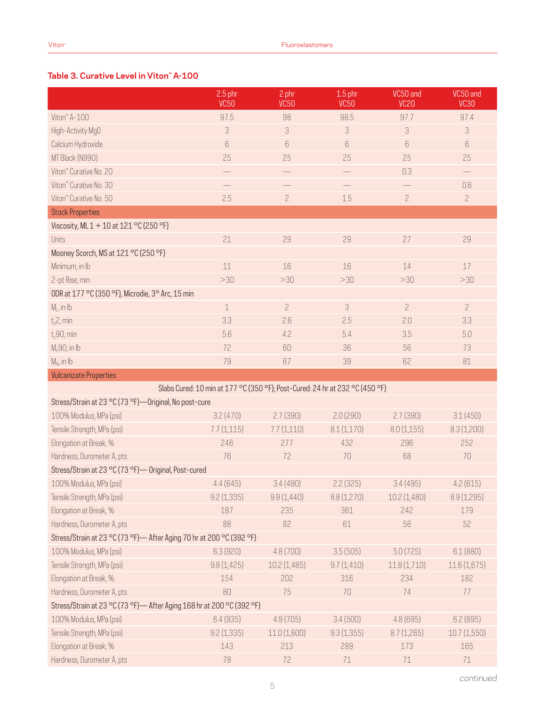### **Table 3. Curative Level in Viton™ A-100**

|                                                                        | $2.5$ phr<br><b>VC50</b> | 2 phr<br><b>VC50</b>                                                         | $1.5$ phr<br><b>VC50</b> | VC50 and<br>VC <sub>20</sub> | VC50 and<br><b>VC30</b> |
|------------------------------------------------------------------------|--------------------------|------------------------------------------------------------------------------|--------------------------|------------------------------|-------------------------|
| Viton™ A-100                                                           | 97.5                     | 98                                                                           | 98.5                     | 97.7                         | 97.4                    |
| High-Activity MgO                                                      | 3                        | 3                                                                            | 3                        | 3                            | 3                       |
| Calcium Hydroxide                                                      | 6                        | 6                                                                            | 6                        | 6                            | 6                       |
| MT Black (N990)                                                        | 25                       | 25                                                                           | 25                       | 25                           | 25                      |
| Viton" Curative No. 20                                                 |                          |                                                                              |                          | 0.3                          |                         |
| Viton" Curative No. 30                                                 |                          |                                                                              |                          |                              | 0.6                     |
| Viton" Curative No. 50                                                 | 2.5                      | $\overline{c}$                                                               | 1.5                      | $\overline{c}$               | $\overline{c}$          |
| <b>Stock Properties</b>                                                |                          |                                                                              |                          |                              |                         |
| Viscosity, ML 1 + 10 at 121 °C (250 °F)                                |                          |                                                                              |                          |                              |                         |
| Units                                                                  | 21                       | 29                                                                           | 29                       | 27                           | 29                      |
| Mooney Scorch, MS at 121 °C (250 °F)                                   |                          |                                                                              |                          |                              |                         |
| Minimum, in Ib                                                         | $11\,$                   | 16                                                                           | 16                       | 14                           | 17                      |
| 2-pt Rise, min                                                         | >30                      | >30                                                                          | >30                      | >30                          | >30                     |
| ODR at 177 °C (350 °F), Microdie, 3° Arc, 15 min                       |                          |                                                                              |                          |                              |                         |
| $M_L$ , in $Ib$                                                        | $\mathbf 1$              | $\overline{c}$                                                               | 3                        | $\overline{c}$               | $\overline{c}$          |
| $t_s$ 2, min                                                           | 3.3                      | 2.6                                                                          | 2.5                      | 2.0                          | 3.3                     |
| $t_c$ 90, min                                                          | 5.6                      | 4.2                                                                          | 5.4                      | 3.5                          | 5.0                     |
| $M_c90$ , in $Ib$                                                      | 72                       | 60                                                                           | 36                       | 56                           | 73                      |
| $M_H$ , in Ib                                                          | 79                       | 67                                                                           | 39                       | 62                           | 81                      |
| <b>Vulcanizate Properties</b>                                          |                          |                                                                              |                          |                              |                         |
|                                                                        |                          | Slabs Cured: 10 min at 177 °C (350 °F); Post-Cured: 24 hr at 232 °C (450 °F) |                          |                              |                         |
| Stress/Strain at 23 °C (73 °F) - Original, No post-cure                |                          |                                                                              |                          |                              |                         |
| 100% Modulus, MPa (psi)                                                | 3.2(470)                 | 2.7(390)                                                                     | 2.0(290)                 | 2.7(390)                     | 3.1(450)                |
| Tensile Strength, MPa (psi)                                            | 7.7(1,115)               | 7.7(1,110)                                                                   | 8.1(1,170)               | 8.0(1,155)                   | 8.3(1,200)              |
| Elongation at Break, %                                                 | 246                      | 277                                                                          | 432                      | 296                          | 252                     |
| Hardness, Durometer A, pts                                             | 76                       | 72                                                                           | 70                       | 68                           | 70                      |
| Stress/Strain at 23 °C (73 °F) - Original, Post-cured                  |                          |                                                                              |                          |                              |                         |
| 100% Modulus, MPa (psi)                                                | 4.4(645)                 | 3.4(490)                                                                     | 2.2(325)                 | 3.4(495)                     | 4.2(615)                |
| Tensile Strength, MPa (psi)                                            | 9.2(1,335)               | 9.9(1,440)                                                                   | 8.8(1,270)               | 10.2 (1,480)                 | 8.9 (1,295)             |
| Elongation at Break, %                                                 | 187                      | 235                                                                          | 361                      | 242                          | 179                     |
| Hardness, Durometer A, pts                                             | 88                       | 82                                                                           | 61                       | 56                           | 52                      |
| Stress/Strain at 23 °C (73 °F) - After Aging 70 hr at 200 °C (392 °F)  |                          |                                                                              |                          |                              |                         |
| 100% Modulus, MPa (psi)                                                | 6.3(920)                 | 4.8(700)                                                                     | 3.5(505)                 | 5.0(725)                     | 6.1(880)                |
| Tensile Strength, MPa (psi)                                            | 9.8(1,425)               | 10.2 (1,485)                                                                 | 9.7(1,410)               | 11.8(1,710)                  | 11.6 (1,675)            |
| Elongation at Break, %                                                 | 154                      | 202                                                                          | 316                      | 234                          | 182                     |
| Hardness, Durometer A, pts                                             | 80                       | 75                                                                           | 70                       | 74                           | 77                      |
| Stress/Strain at 23 °C (73 °F) - After Aging 168 hr at 200 °C (392 °F) |                          |                                                                              |                          |                              |                         |
| 100% Modulus, MPa (psi)                                                | 6.4(935)                 | 4.9(705)                                                                     | 3.4(500)                 | 4.8(695)                     | 6.2(895)                |
| Tensile Strength, MPa (psi)                                            | 9.2(1,335)               | 11.0(1,600)                                                                  | 9.3(1,355)               | 8.7(1,265)                   | 10.7(1,550)             |
| Elongation at Break, %                                                 | 143                      | 213                                                                          | 289                      | 173                          | 165                     |
| Hardness, Durometer A, pts                                             | 78                       | 72                                                                           | 71                       | 71                           | $71\,$                  |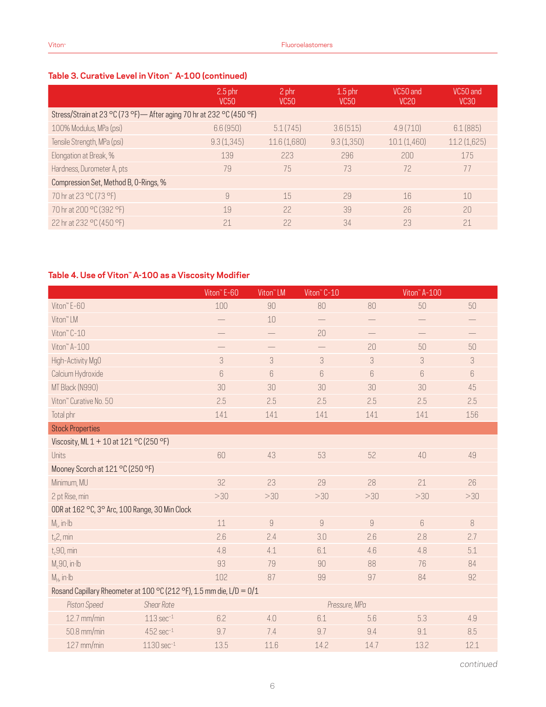## **Table 3. Curative Level in Viton™ A-100 (continued)**

|                                                                       | $2.5$ phr<br><b>VC50</b> | 2 phr<br>VC <sub>50</sub> | $1.5$ phr<br><b>VC50</b> | VC50 and<br>VC <sub>20</sub> | VC50 and<br>VC <sub>30</sub> |
|-----------------------------------------------------------------------|--------------------------|---------------------------|--------------------------|------------------------------|------------------------------|
| Stress/Strain at 23 °C (73 °F) - After aging 70 hr at 232 °C (450 °F) |                          |                           |                          |                              |                              |
| 100% Modulus, MPa (psi)                                               | 6.6(950)                 | 5.1(745)                  | 3.6(515)                 | 4.9(710)                     | 6.1(885)                     |
| Tensile Strength, MPa (psi)                                           | 9.3(1,345)               | 11.6(1,680)               | 9.3(1,350)               | 10.1(1,460)                  | 11.2(1,625)                  |
| Elongation at Break, %                                                | 139                      | 223                       | 296                      | 200                          | 175                          |
| Hardness, Durometer A, pts                                            | 79                       | 75                        | 73                       | 72                           | 77                           |
| Compression Set, Method B, O-Rings, %                                 |                          |                           |                          |                              |                              |
| 70 hr at 23 °C (73 °F)                                                | 9                        | 15                        | 29                       | 16                           | 10                           |
| 70 hr at 200 °C (392 °F)                                              | 19                       | 22                        | 39                       | 26                           | 20                           |
| 22 hr at 232 °C (450 °F)                                              | 21                       | 22                        | 34                       | 23                           | 21                           |

### **Table 4. Use of Viton™ A-100 as a Viscosity Modifier**

|                                                                      |                         | Viton" E-60 | Viton <sup>"</sup> LM | Viton" C-10       |                          | Viton <sup>"</sup> A-100    |                          |
|----------------------------------------------------------------------|-------------------------|-------------|-----------------------|-------------------|--------------------------|-----------------------------|--------------------------|
| Viton" E-60                                                          |                         | 100         | 90                    | 80                | 80                       | 50                          | 50                       |
| Viton" LM                                                            |                         |             | 10                    | $\qquad \qquad -$ |                          |                             |                          |
| Viton" C-10                                                          |                         |             | $\qquad \qquad -$     | 20                | $\overline{\phantom{0}}$ | $\qquad \qquad -$           | $\overline{\phantom{0}}$ |
| Viton" A-100                                                         |                         |             |                       |                   | 20                       | 50                          | 50                       |
| High-Activity MgO                                                    |                         | 3           | 3                     | 3                 | 3                        | $\ensuremath{\mathfrak{Z}}$ | 3                        |
| Calcium Hydroxide                                                    |                         | $6\,$       | 6                     | 6                 | 6                        | $6\,$                       | 6                        |
| MT Black (N990)                                                      |                         | 30          | 30                    | 30                | 30                       | 30                          | 45                       |
| Viton" Curative No. 50                                               |                         | 2.5         | 2.5                   | 2.5               | 2.5                      | 2.5                         | 2.5                      |
| Total phr                                                            |                         | 141         | 141                   | 141               | 141                      | 141                         | 156                      |
| <b>Stock Properties</b>                                              |                         |             |                       |                   |                          |                             |                          |
| Viscosity, ML 1 + 10 at 121 °C (250 °F)                              |                         |             |                       |                   |                          |                             |                          |
| Units                                                                |                         | 60          | 43                    | 53                | 52                       | 40                          | 49                       |
| Mooney Scorch at 121 °C (250 °F)                                     |                         |             |                       |                   |                          |                             |                          |
| Minimum, MU                                                          |                         | 32          | 23                    | 29                | 28                       | 21                          | 26                       |
| 2 pt Rise, min                                                       |                         | >30         | >30                   | >30               | >30                      | >30                         | >30                      |
| ODR at 162 °C, 3° Arc, 100 Range, 30 Min Clock                       |                         |             |                       |                   |                          |                             |                          |
| $M1$ , in Ib                                                         |                         | 11          | $\overline{9}$        | $\overline{9}$    | $\mathcal G$             | $\boldsymbol{6}$            | 8                        |
| $t_s$ 2, min                                                         |                         | 2.6         | 2.4                   | 3.0               | 2.6                      | 2.8                         | 2.7                      |
| $t_c$ 90, min                                                        |                         | 4.8         | 4.1                   | 6.1               | 4.6                      | 4.8                         | 5.1                      |
| $M_c$ 90, in·lb                                                      |                         | 93          | 79                    | 90                | 88                       | 76                          | 84                       |
| $M_H$ , in Ib                                                        |                         | 102         | 87                    | 99                | 97                       | 84                          | 92                       |
| Rosand Capillary Rheometer at 100 °C (212 °F), 1.5 mm die, L/D = 0/1 |                         |             |                       |                   |                          |                             |                          |
| Piston Speed                                                         | <b>Shear Rate</b>       |             |                       | Pressure, MPa     |                          |                             |                          |
| 12.7 mm/min                                                          | $113 sec-1$             | 6.2         | 4.0                   | 6.1               | 5.6                      | 5.3                         | 4.9                      |
| 50.8 mm/min                                                          | $452$ sec $^{-1}$       | 9.7         | 7.4                   | 9.7               | 9.4                      | 9.1                         | 8.5                      |
| 127 mm/min                                                           | $1130 \text{ sec}^{-1}$ | 13.5        | 11.6                  | 14.2              | 14.7                     | 13.2                        | 12.1                     |

*continued*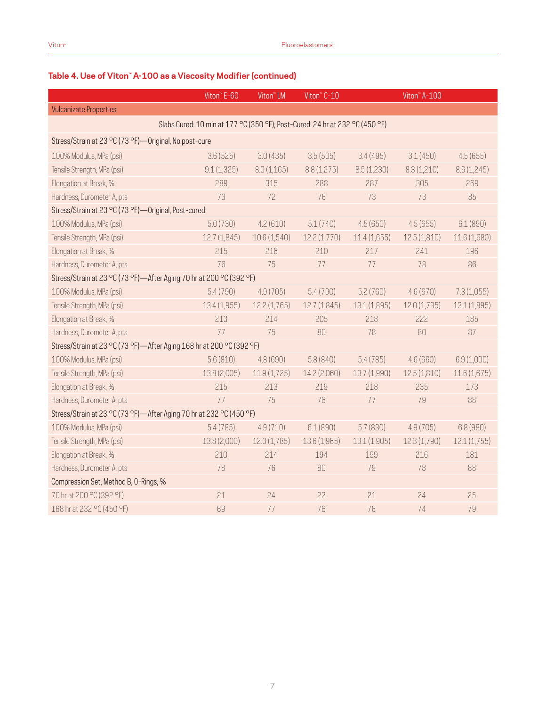### **Table 4. Use of Viton™ A-100 as a Viscosity Modifier (continued)**

|                                                                      | Viton" E-60  | Viton <sup>™</sup> LM                                                        | Viton" C-10  |              | Viton" A-100 |              |
|----------------------------------------------------------------------|--------------|------------------------------------------------------------------------------|--------------|--------------|--------------|--------------|
| <b>Vulcanizate Properties</b>                                        |              |                                                                              |              |              |              |              |
|                                                                      |              | Slabs Cured: 10 min at 177 °C (350 °F); Post-Cured: 24 hr at 232 °C (450 °F) |              |              |              |              |
| Stress/Strain at 23 °C (73 °F) - Original, No post-cure              |              |                                                                              |              |              |              |              |
| 100% Modulus, MPa (psi)                                              | 3.6(525)     | 3.0(435)                                                                     | 3.5(505)     | 3.4(495)     | 3.1(450)     | 4.5(655)     |
| Tensile Strength, MPa (psi)                                          | 9.1(1,325)   | 8.0(1,165)                                                                   | 8.8(1,275)   | 8.5(1,230)   | 8.3(1,210)   | 8.6(1,245)   |
| Elongation at Break, %                                               | 289          | 315                                                                          | 288          | 287          | 305          | 269          |
| Hardness, Durometer A, pts                                           | 73           | 72                                                                           | 76           | 73           | 73           | 85           |
| Stress/Strain at 23 °C (73 °F)-Original, Post-cured                  |              |                                                                              |              |              |              |              |
| 100% Modulus, MPa (psi)                                              | 5.0(730)     | 4.2(610)                                                                     | 5.1(740)     | 4.5(650)     | 4.5(655)     | 6.1(890)     |
| Tensile Strength, MPa (psi)                                          | 12.7(1,845)  | 10.6 (1,540)                                                                 | 12.2(1,770)  | 11.4(1,655)  | 12.5(1,810)  | 11.6 (1,680) |
| Elongation at Break, %                                               | 215          | 216                                                                          | 210          | 217          | 241          | 196          |
| Hardness, Durometer A, pts                                           | 76           | 75                                                                           | 77           | 77           | 78           | 86           |
| Stress/Strain at 23 °C (73 °F)-After Aging 70 hr at 200 °C (392 °F)  |              |                                                                              |              |              |              |              |
| 100% Modulus, MPa (psi)                                              | 5.4(790)     | 4.9(705)                                                                     | 5.4(790)     | 5.2(760)     | 4.6(670)     | 7.3(1,055)   |
| Tensile Strength, MPa (psi)                                          | 13.4 (1,955) | 12.2(1,765)                                                                  | 12.7(1,845)  | 13.1 (1,895) | 12.0(1,735)  | 13.1 (1,895) |
| Elongation at Break, %                                               | 213          | 214                                                                          | 205          | 218          | 222          | 185          |
| Hardness, Durometer A, pts                                           | 77           | 75                                                                           | 80           | 78           | 80           | 87           |
| Stress/Strain at 23 °C (73 °F)-After Aging 168 hr at 200 °C (392 °F) |              |                                                                              |              |              |              |              |
| 100% Modulus, MPa (psi)                                              | 5.6(810)     | 4.8(690)                                                                     | 5.8(840)     | 5.4(785)     | 4.6(660)     | 6.9(1,000)   |
| Tensile Strength, MPa (psi)                                          | 13.8 (2,005) | 11.9(1,725)                                                                  | 14.2 (2,060) | 13.7 (1,990) | 12.5(1,810)  | 11.6(1,675)  |
| Elongation at Break, %                                               | 215          | 213                                                                          | 219          | 218          | 235          | 173          |
| Hardness, Durometer A, pts                                           | 77           | 75                                                                           | 76           | 77           | 79           | 88           |
| Stress/Strain at 23 °C (73 °F)-After Aging 70 hr at 232 °C (450 °F)  |              |                                                                              |              |              |              |              |
| 100% Modulus, MPa (psi)                                              | 5.4(785)     | 4.9(710)                                                                     | 6.1(890)     | 5.7(830)     | 4.9(705)     | 6.8 (980)    |
| Tensile Strength, MPa (psi)                                          | 13.8 (2,000) | 12.3(1,785)                                                                  | 13.6 (1,965) | 13.1 (1,905) | 12.3(1,790)  | 12.1(1,755)  |
| Elongation at Break, %                                               | 210          | 214                                                                          | 194          | 199          | 216          | 181          |
| Hardness, Durometer A, pts                                           | 78           | 76                                                                           | 80           | 79           | 78           | 88           |
| Compression Set, Method B, O-Rings, %                                |              |                                                                              |              |              |              |              |
| 70 hr at 200 °C (392 °F)                                             | 21           | 24                                                                           | 22           | 21           | 24           | 25           |
| 168 hr at 232 °C (450 °F)                                            | 69           | 77                                                                           | 76           | 76           | 74           | 79           |